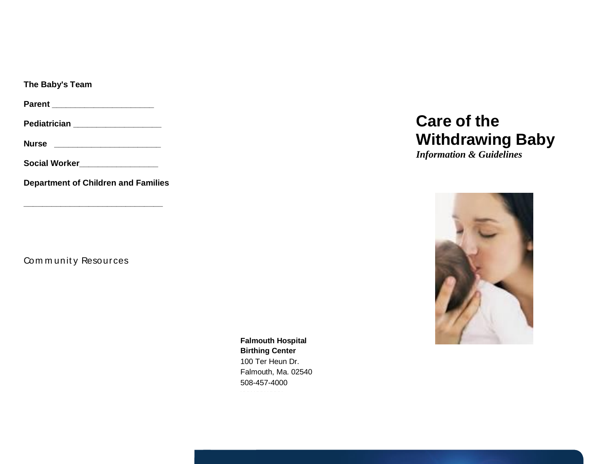**The Baby's Team**

**Parent \_\_\_\_\_\_\_\_\_\_\_\_\_\_\_\_\_\_\_\_\_\_**

**Pediatrician \_\_\_\_\_\_\_\_\_\_\_\_\_\_\_\_\_\_\_**

**Nurse \_\_\_\_\_\_\_\_\_\_\_\_\_\_\_\_\_\_\_\_\_\_\_**

**Social Worker\_\_\_\_\_\_\_\_\_\_\_\_\_\_\_\_\_**

**Department of Children and Families**

**\_\_\_\_\_\_\_\_\_\_\_\_\_\_\_\_\_\_\_\_\_\_\_\_\_\_\_\_\_\_**

Community Resources

**Falmouth Hospital Birthing Center** 100 Ter Heun Dr. Falmouth, Ma. 02540 508-457-4000 xxx.xxx.xxxxxx

# **Care of the Withdrawing Baby**

*Information & Guidelines*